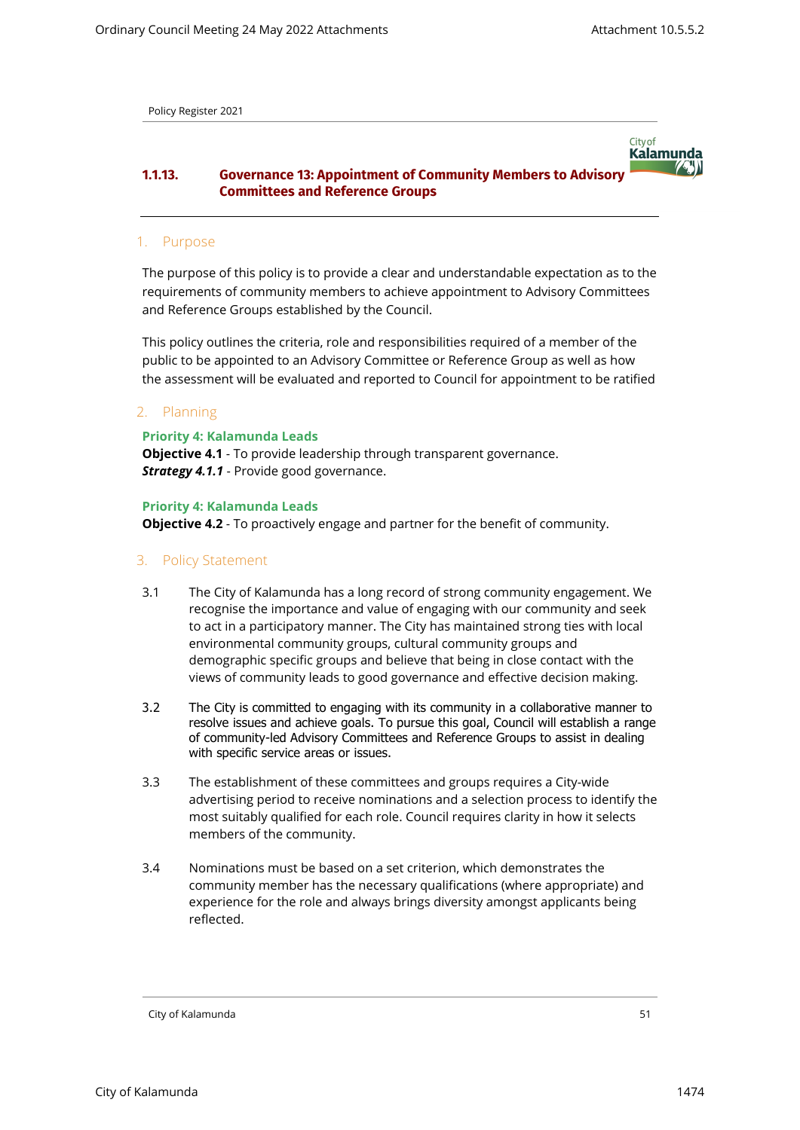City of **Kalamunda** 

Policy Register 2021

# **1.1.13. Governance 13: Appointment of Community Members to Advisory Committees and Reference Groups**

### 1. Purpose

The purpose of this policy is to provide a clear and understandable expectation as to the requirements of community members to achieve appointment to Advisory Committees and Reference Groups established by the Council.

This policy outlines the criteria, role and responsibilities required of a member of the public to be appointed to an Advisory Committee or Reference Group as well as how the assessment will be evaluated and reported to Council for appointment to be ratified

## 2. Planning

#### **Priority 4: Kalamunda Leads**

**Objective 4.1** - To provide leadership through transparent governance. *Strategy 4.1.1* - Provide good governance.

#### **Priority 4: Kalamunda Leads**

**Objective 4.2** - To proactively engage and partner for the benefit of community.

#### 3. Policy Statement

- 3.1 The City of Kalamunda has a long record of strong community engagement. We recognise the importance and value of engaging with our community and seek to act in a participatory manner. The City has maintained strong ties with local environmental community groups, cultural community groups and demographic specific groups and believe that being in close contact with the views of community leads to good governance and effective decision making.
- 3.2 The City is committed to engaging with its community in a collaborative manner to resolve issues and achieve goals. To pursue this goal, Council will establish a range of community-led Advisory Committees and Reference Groups to assist in dealing with specific service areas or issues.
- 3.3 The establishment of these committees and groups requires a City-wide advertising period to receive nominations and a selection process to identify the most suitably qualified for each role. Council requires clarity in how it selects members of the community.
- 3.4 Nominations must be based on a set criterion, which demonstrates the community member has the necessary qualifications (where appropriate) and experience for the role and always brings diversity amongst applicants being reflected.

City of Kalamunda 51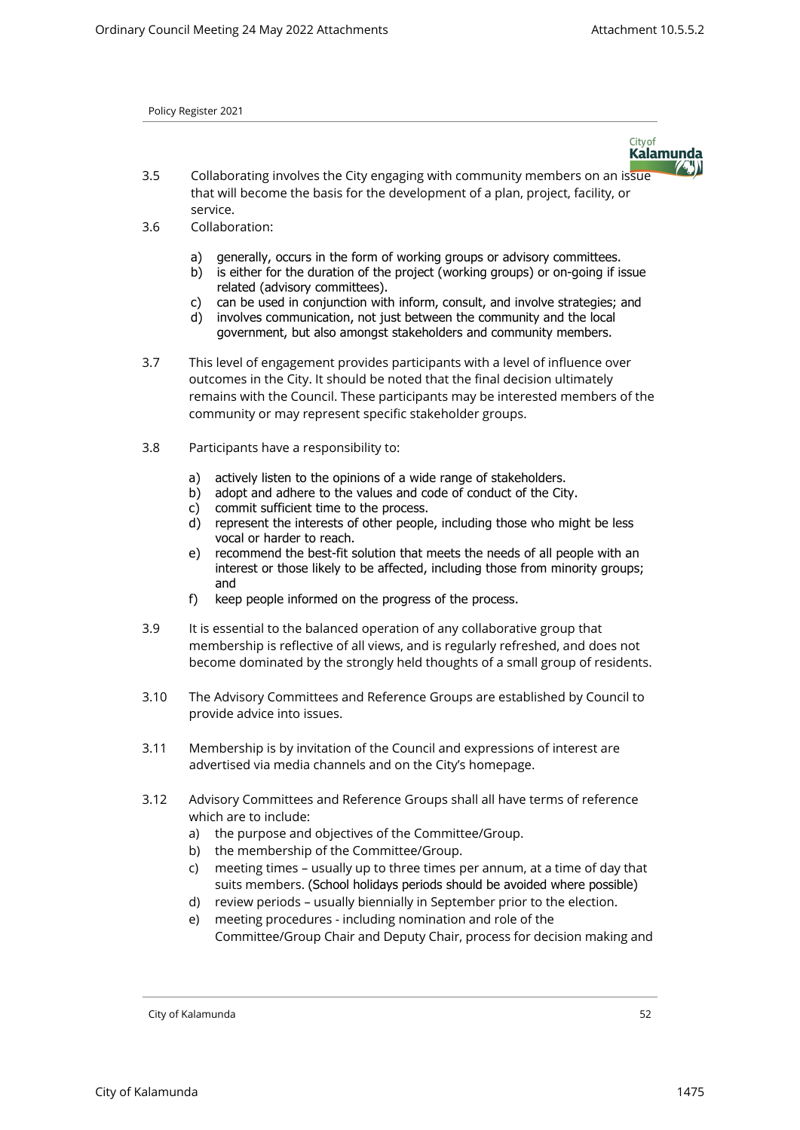City of **Kalamunda** 

Policy Register 2021

- **ASI** 3.5 Collaborating involves the City engaging with community members on an issue that will become the basis for the development of a plan, project, facility, or service.
- 3.6 Collaboration:
	- a) generally, occurs in the form of working groups or advisory committees.
	- b) is either for the duration of the project (working groups) or on-going if issue related (advisory committees).
	- c) can be used in conjunction with inform, consult, and involve strategies; and
	- d) involves communication, not just between the community and the local government, but also amongst stakeholders and community members.
- 3.7 This level of engagement provides participants with a level of influence over outcomes in the City. It should be noted that the final decision ultimately remains with the Council. These participants may be interested members of the community or may represent specific stakeholder groups.
- 3.8 Participants have a responsibility to:
	- a) actively listen to the opinions of a wide range of stakeholders.
	- b) adopt and adhere to the values and code of conduct of the City.
	- c) commit sufficient time to the process.
	- d) represent the interests of other people, including those who might be less vocal or harder to reach.
	- e) recommend the best-fit solution that meets the needs of all people with an interest or those likely to be affected, including those from minority groups; and
	- f) keep people informed on the progress of the process.
- 3.9 It is essential to the balanced operation of any collaborative group that membership is reflective of all views, and is regularly refreshed, and does not become dominated by the strongly held thoughts of a small group of residents.
- 3.10 The Advisory Committees and Reference Groups are established by Council to provide advice into issues.
- 3.11 Membership is by invitation of the Council and expressions of interest are advertised via media channels and on the City's homepage.
- 3.12 Advisory Committees and Reference Groups shall all have terms of reference which are to include:
	- a) the purpose and objectives of the Committee/Group.
	- b) the membership of the Committee/Group.
	- c) meeting times usually up to three times per annum, at a time of day that suits members. (School holidays periods should be avoided where possible)
	- d) review periods usually biennially in September prior to the election.
	- e) meeting procedures including nomination and role of the Committee/Group Chair and Deputy Chair, process for decision making and

City of Kalamunda 52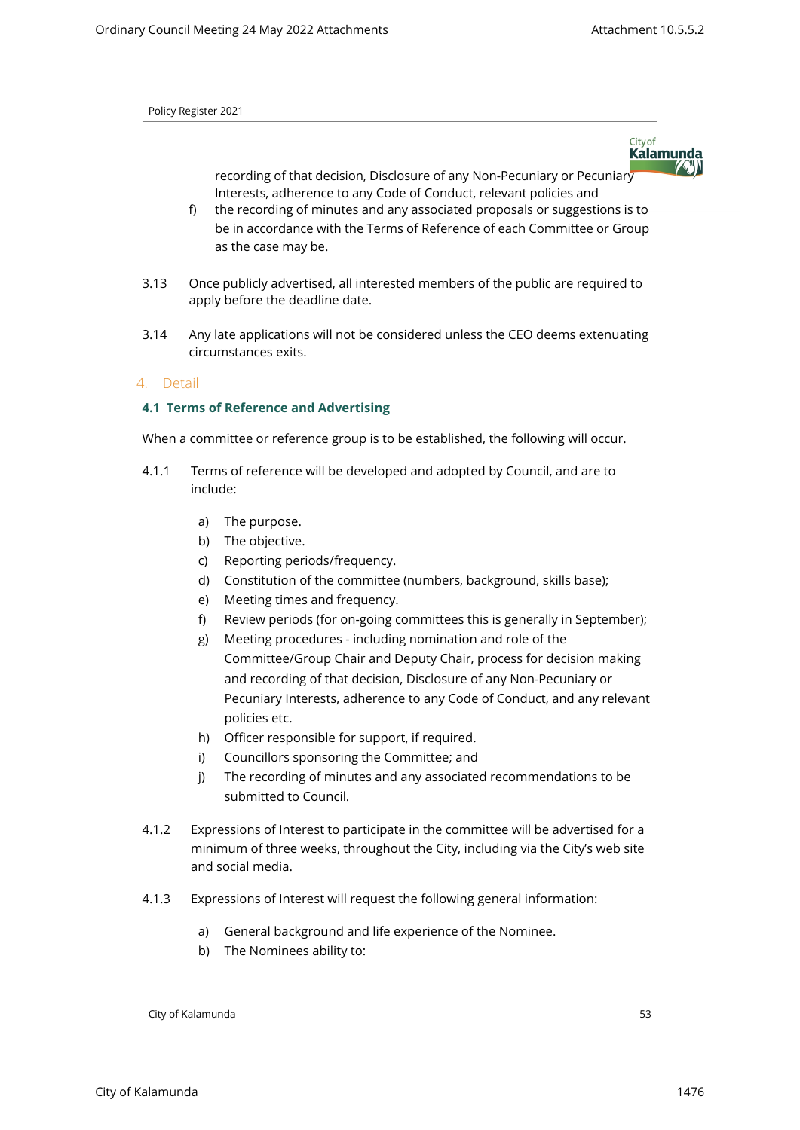City of **Kalamunda CAN** 

recording of that decision, Disclosure of any Non-Pecuniary or Pecuniary Interests, adherence to any Code of Conduct, relevant policies and

- f) the recording of minutes and any associated proposals or suggestions is to be in accordance with the Terms of Reference of each Committee or Group as the case may be.
- 3.13 Once publicly advertised, all interested members of the public are required to apply before the deadline date.
- 3.14 Any late applications will not be considered unless the CEO deems extenuating circumstances exits.

## 4. Detail

## **4.1 Terms of Reference and Advertising**

When a committee or reference group is to be established, the following will occur.

- 4.1.1 Terms of reference will be developed and adopted by Council, and are to include:
	- a) The purpose.
	- b) The objective.
	- c) Reporting periods/frequency.
	- d) Constitution of the committee (numbers, background, skills base);
	- e) Meeting times and frequency.
	- f) Review periods (for on-going committees this is generally in September);
	- g) Meeting procedures including nomination and role of the Committee/Group Chair and Deputy Chair, process for decision making and recording of that decision, Disclosure of any Non-Pecuniary or Pecuniary Interests, adherence to any Code of Conduct, and any relevant policies etc.
	- h) Officer responsible for support, if required.
	- i) Councillors sponsoring the Committee; and
	- j) The recording of minutes and any associated recommendations to be submitted to Council.
- 4.1.2 Expressions of Interest to participate in the committee will be advertised for a minimum of three weeks, throughout the City, including via the City's web site and social media.
- 4.1.3 Expressions of Interest will request the following general information:
	- a) General background and life experience of the Nominee.
	- b) The Nominees ability to:

City of Kalamunda 53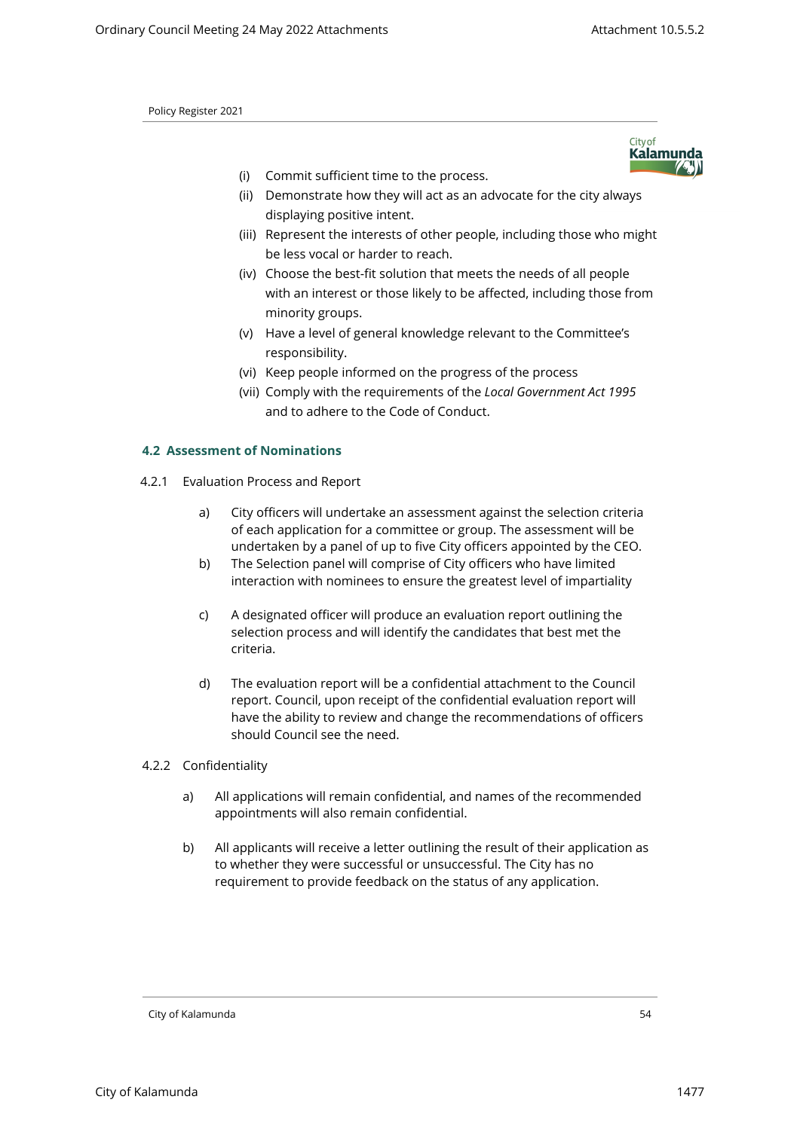

- (i) Commit sufficient time to the process.
- (ii) Demonstrate how they will act as an advocate for the city always displaying positive intent.
- (iii) Represent the interests of other people, including those who might be less vocal or harder to reach.
- (iv) Choose the best-fit solution that meets the needs of all people with an interest or those likely to be affected, including those from minority groups.
- (v) Have a level of general knowledge relevant to the Committee's responsibility.
- (vi) Keep people informed on the progress of the process
- (vii) Comply with the requirements of the *Local Government Act 1995* and to adhere to the Code of Conduct.

## **4.2 Assessment of Nominations**

- 4.2.1 Evaluation Process and Report
	- a) City officers will undertake an assessment against the selection criteria of each application for a committee or group. The assessment will be undertaken by a panel of up to five City officers appointed by the CEO.
	- b) The Selection panel will comprise of City officers who have limited interaction with nominees to ensure the greatest level of impartiality
	- c) A designated officer will produce an evaluation report outlining the selection process and will identify the candidates that best met the criteria.
	- d) The evaluation report will be a confidential attachment to the Council report. Council, upon receipt of the confidential evaluation report will have the ability to review and change the recommendations of officers should Council see the need.

#### 4.2.2 Confidentiality

- a) All applications will remain confidential, and names of the recommended appointments will also remain confidential.
- b) All applicants will receive a letter outlining the result of their application as to whether they were successful or unsuccessful. The City has no requirement to provide feedback on the status of any application.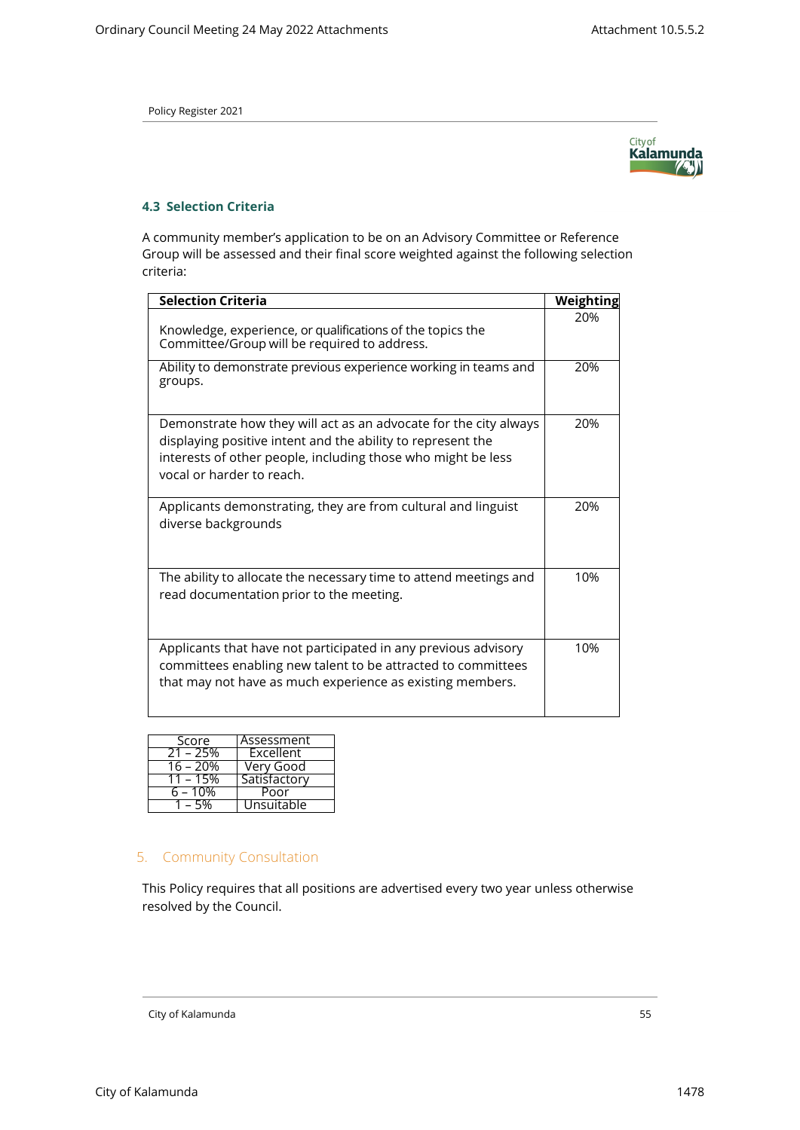

# **4.3 Selection Criteria**

A community member's application to be on an Advisory Committee or Reference Group will be assessed and their final score weighted against the following selection criteria:

| <b>Selection Criteria</b>                                                                                                                                                                                                    | Weighting |
|------------------------------------------------------------------------------------------------------------------------------------------------------------------------------------------------------------------------------|-----------|
| Knowledge, experience, or qualifications of the topics the<br>Committee/Group will be required to address.                                                                                                                   | 20%       |
| Ability to demonstrate previous experience working in teams and<br>groups.                                                                                                                                                   | 20%       |
| Demonstrate how they will act as an advocate for the city always<br>displaying positive intent and the ability to represent the<br>interests of other people, including those who might be less<br>vocal or harder to reach. | 20%       |
| Applicants demonstrating, they are from cultural and linguist<br>diverse backgrounds                                                                                                                                         | 20%       |
| The ability to allocate the necessary time to attend meetings and<br>read documentation prior to the meeting.                                                                                                                | 10%       |
| Applicants that have not participated in any previous advisory<br>committees enabling new talent to be attracted to committees<br>that may not have as much experience as existing members.                                  | 10%       |

| Score       | Assessment   |
|-------------|--------------|
| $21 - 25%$  | Excellent    |
| $16 - 20%$  | Very Good    |
| $11 - 15\%$ | Satisfactory |
| $6 - 10%$   | Poor         |
| $1 - 5%$    | Unsuitable   |

# 5. Community Consultation

This Policy requires that all positions are advertised every two year unless otherwise resolved by the Council.

City of Kalamunda 55